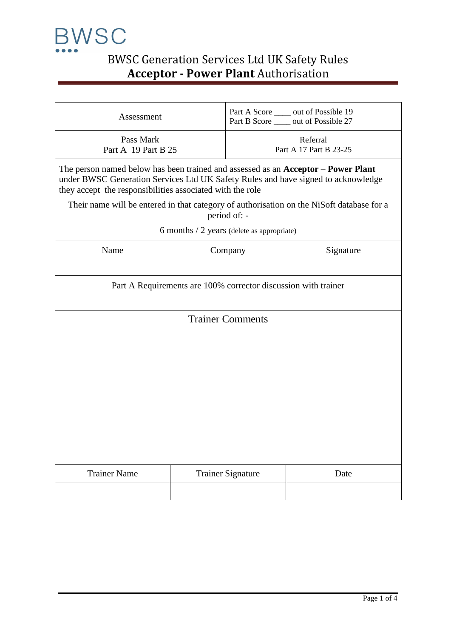

| Assessment                                                                                                                                                                                                                          |  |                                    | Part A Score _____ out of Possible 19<br>Part B Score _____ out of Possible 27 |  |  |  |  |
|-------------------------------------------------------------------------------------------------------------------------------------------------------------------------------------------------------------------------------------|--|------------------------------------|--------------------------------------------------------------------------------|--|--|--|--|
| Pass Mark<br>Part A 19 Part B 25                                                                                                                                                                                                    |  | Referral<br>Part A 17 Part B 23-25 |                                                                                |  |  |  |  |
| The person named below has been trained and assessed as an Acceptor - Power Plant<br>under BWSC Generation Services Ltd UK Safety Rules and have signed to acknowledge<br>they accept the responsibilities associated with the role |  |                                    |                                                                                |  |  |  |  |
| Their name will be entered in that category of authorisation on the NiSoft database for a<br>period of: -                                                                                                                           |  |                                    |                                                                                |  |  |  |  |
| 6 months $/$ 2 years (delete as appropriate)                                                                                                                                                                                        |  |                                    |                                                                                |  |  |  |  |
| Name<br>Company<br>Signature                                                                                                                                                                                                        |  |                                    |                                                                                |  |  |  |  |
| Part A Requirements are 100% corrector discussion with trainer                                                                                                                                                                      |  |                                    |                                                                                |  |  |  |  |
| <b>Trainer Comments</b>                                                                                                                                                                                                             |  |                                    |                                                                                |  |  |  |  |
| <b>Trainer Name</b>                                                                                                                                                                                                                 |  | <b>Trainer Signature</b>           | Date                                                                           |  |  |  |  |
|                                                                                                                                                                                                                                     |  |                                    |                                                                                |  |  |  |  |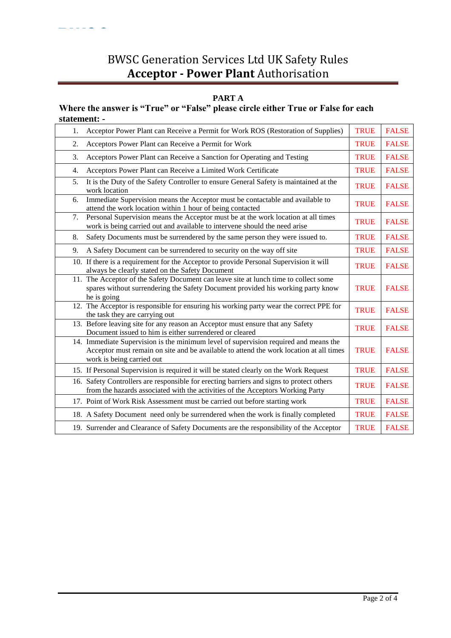### **PART A**

### **Where the answer is "True" or "False" please circle either True or False for each statement: -**

 $\frac{1}{2}$ 

| 1. | Acceptor Power Plant can Receive a Permit for Work ROS (Restoration of Supplies)                                                                                                                            | <b>TRUE</b> | <b>FALSE</b> |
|----|-------------------------------------------------------------------------------------------------------------------------------------------------------------------------------------------------------------|-------------|--------------|
| 2. | Acceptors Power Plant can Receive a Permit for Work                                                                                                                                                         | <b>TRUE</b> | <b>FALSE</b> |
| 3. | Acceptors Power Plant can Receive a Sanction for Operating and Testing                                                                                                                                      | <b>TRUE</b> | <b>FALSE</b> |
| 4. | Acceptors Power Plant can Receive a Limited Work Certificate                                                                                                                                                | <b>TRUE</b> | <b>FALSE</b> |
| 5. | It is the Duty of the Safety Controller to ensure General Safety is maintained at the<br>work location                                                                                                      | <b>TRUE</b> | <b>FALSE</b> |
| 6. | Immediate Supervision means the Acceptor must be contactable and available to<br>attend the work location within 1 hour of being contacted                                                                  | <b>TRUE</b> | <b>FALSE</b> |
| 7. | Personal Supervision means the Acceptor must be at the work location at all times<br>work is being carried out and available to intervene should the need arise                                             | <b>TRUE</b> | <b>FALSE</b> |
| 8. | Safety Documents must be surrendered by the same person they were issued to.                                                                                                                                | <b>TRUE</b> | <b>FALSE</b> |
| 9. | A Safety Document can be surrendered to security on the way off site                                                                                                                                        | <b>TRUE</b> | <b>FALSE</b> |
|    | 10. If there is a requirement for the Acceptor to provide Personal Supervision it will<br>always be clearly stated on the Safety Document                                                                   | <b>TRUE</b> | <b>FALSE</b> |
|    | 11. The Acceptor of the Safety Document can leave site at lunch time to collect some<br>spares without surrendering the Safety Document provided his working party know<br>he is going                      | <b>TRUE</b> | <b>FALSE</b> |
|    | 12. The Acceptor is responsible for ensuring his working party wear the correct PPE for<br>the task they are carrying out                                                                                   | <b>TRUE</b> | <b>FALSE</b> |
|    | 13. Before leaving site for any reason an Acceptor must ensure that any Safety<br>Document issued to him is either surrendered or cleared                                                                   | <b>TRUE</b> | <b>FALSE</b> |
|    | 14. Immediate Supervision is the minimum level of supervision required and means the<br>Acceptor must remain on site and be available to attend the work location at all times<br>work is being carried out | <b>TRUE</b> | <b>FALSE</b> |
|    | 15. If Personal Supervision is required it will be stated clearly on the Work Request                                                                                                                       | <b>TRUE</b> | <b>FALSE</b> |
|    | 16. Safety Controllers are responsible for erecting barriers and signs to protect others<br>from the hazards associated with the activities of the Acceptors Working Party                                  | <b>TRUE</b> | <b>FALSE</b> |
|    | 17. Point of Work Risk Assessment must be carried out before starting work                                                                                                                                  | <b>TRUE</b> | <b>FALSE</b> |
|    | 18. A Safety Document need only be surrendered when the work is finally completed                                                                                                                           | <b>TRUE</b> | <b>FALSE</b> |
|    | 19. Surrender and Clearance of Safety Documents are the responsibility of the Acceptor                                                                                                                      | <b>TRUE</b> | <b>FALSE</b> |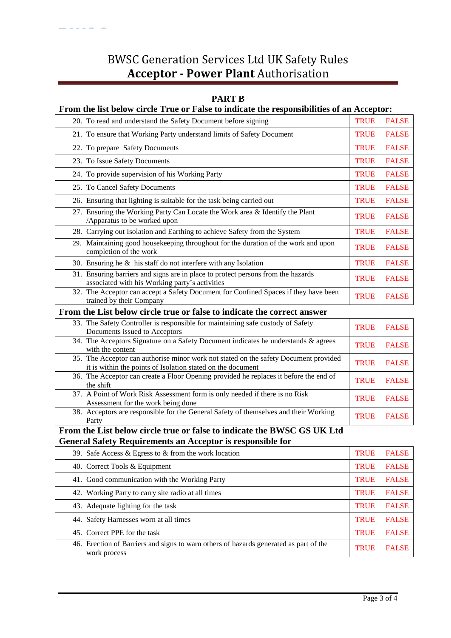#### **PART B**

### **From the list below circle True or False to indicate the responsibilities of an Acceptor:**

| 20. To read and understand the Safety Document before signing                                                                      | <b>TRUE</b> | <b>FALSE</b> |
|------------------------------------------------------------------------------------------------------------------------------------|-------------|--------------|
| 21. To ensure that Working Party understand limits of Safety Document                                                              | <b>TRUE</b> | <b>FALSE</b> |
| 22. To prepare Safety Documents                                                                                                    | <b>TRUE</b> | <b>FALSE</b> |
| 23. To Issue Safety Documents                                                                                                      | <b>TRUE</b> | <b>FALSE</b> |
| 24. To provide supervision of his Working Party                                                                                    | <b>TRUE</b> | <b>FALSE</b> |
| 25. To Cancel Safety Documents                                                                                                     | <b>TRUE</b> | <b>FALSE</b> |
| 26. Ensuring that lighting is suitable for the task being carried out                                                              | <b>TRUE</b> | <b>FALSE</b> |
| 27. Ensuring the Working Party Can Locate the Work area & Identify the Plant<br>Apparatus to be worked upon                        | <b>TRUE</b> | <b>FALSE</b> |
| 28. Carrying out Isolation and Earthing to achieve Safety from the System                                                          | <b>TRUE</b> | <b>FALSE</b> |
| Maintaining good housekeeping throughout for the duration of the work and upon<br>29.<br>completion of the work                    | <b>TRUE</b> | <b>FALSE</b> |
| 30. Ensuring he $\&$ his staff do not interfere with any Isolation                                                                 | <b>TRUE</b> | <b>FALSE</b> |
| 31. Ensuring barriers and signs are in place to protect persons from the hazards<br>associated with his Working party's activities | <b>TRUE</b> | <b>FALSE</b> |
| 32. The Acceptor can accept a Safety Document for Confined Spaces if they have been<br>trained by their Company                    | <b>TRUE</b> | <b>FALSE</b> |
| $\mathbf{r}$ , and $\mathbf{r}$ , and $\mathbf{r}$ , and $\mathbf{r}$ , and $\mathbf{r}$ , and $\mathbf{r}$ , and $\mathbf{r}$     |             |              |

### **From the List below circle true or false to indicate the correct answer**

| 33. The Safety Controller is responsible for maintaining safe custody of Safety<br>Documents issued to Acceptors                                    | <b>TRUE</b> | <b>FALSE</b> |
|-----------------------------------------------------------------------------------------------------------------------------------------------------|-------------|--------------|
| 34. The Acceptors Signature on a Safety Document indicates he understands & agrees<br>with the content                                              | <b>TRUE</b> | <b>FALSE</b> |
| 35. The Acceptor can authorise minor work not stated on the safety Document provided<br>it is within the points of Isolation stated on the document | <b>TRUE</b> | <b>FALSE</b> |
| 36. The Acceptor can create a Floor Opening provided he replaces it before the end of<br>the shift                                                  | <b>TRUE</b> | <b>FALSE</b> |
| 37. A Point of Work Risk Assessment form is only needed if there is no Risk<br>Assessment for the work being done                                   | <b>TRUE</b> | <b>FALSE</b> |
| 38. Acceptors are responsible for the General Safety of themselves and their Working<br>Party                                                       | <b>TRUE</b> | <b>FALSE</b> |

**From the List below circle true or false to indicate the BWSC GS UK Ltd General Safety Requirements an Acceptor is responsible for** 

| 39. Safe Access & Egress to $\&$ from the work location                                               | <b>TRUE</b> | <b>FALSE</b> |
|-------------------------------------------------------------------------------------------------------|-------------|--------------|
| 40. Correct Tools & Equipment                                                                         | <b>TRUE</b> | <b>FALSE</b> |
| 41. Good communication with the Working Party                                                         | <b>TRUE</b> | <b>FALSE</b> |
| 42. Working Party to carry site radio at all times                                                    | <b>TRUE</b> | <b>FALSE</b> |
| 43. Adequate lighting for the task                                                                    | <b>TRUE</b> | <b>FALSE</b> |
| 44. Safety Harnesses worn at all times                                                                | <b>TRUE</b> | <b>FALSE</b> |
| 45. Correct PPE for the task                                                                          | <b>TRUE</b> | <b>FALSE</b> |
| 46. Erection of Barriers and signs to warn others of hazards generated as part of the<br>work process | <b>TRUE</b> | <b>FALSE</b> |